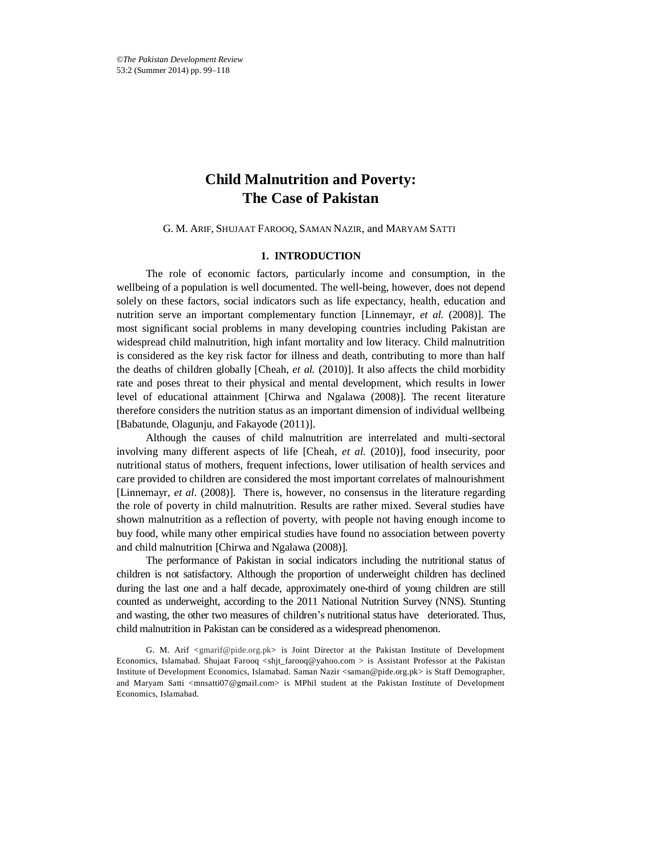*©The Pakistan Development Review* 53:2 (Summer 2014) pp. 99–118

# **Child Malnutrition and Poverty: The Case of Pakistan**

G. M. ARIF, SHUJAAT FAROOQ, SAMAN NAZIR, and MARYAM SATTI

#### **1. INTRODUCTION**

The role of economic factors, particularly income and consumption, in the wellbeing of a population is well documented. The well-being, however, does not depend solely on these factors, social indicators such as life expectancy, health, education and nutrition serve an important complementary function [Linnemayr, *et al.* (2008)]. The most significant social problems in many developing countries including Pakistan are widespread child malnutrition, high infant mortality and low literacy. Child malnutrition is considered as the key risk factor for illness and death, contributing to more than half the deaths of children globally [Cheah, *et al.* (2010)]. It also affects the child morbidity rate and poses threat to their physical and mental development, which results in lower level of educational attainment [Chirwa and Ngalawa (2008)]. The recent literature therefore considers the nutrition status as an important dimension of individual wellbeing [Babatunde, Olagunju, and Fakayode (2011)].

Although the causes of child malnutrition are interrelated and multi-sectoral involving many different aspects of life [Cheah, *et al*. (2010)], food insecurity, poor nutritional status of mothers, frequent infections, lower utilisation of health services and care provided to children are considered the most important correlates of malnourishment [Linnemayr, *et al*. (2008)]. There is, however, no consensus in the literature regarding the role of poverty in child malnutrition. Results are rather mixed. Several studies have shown malnutrition as a reflection of poverty, with people not having enough income to buy food, while many other empirical studies have found no association between poverty and child malnutrition [Chirwa and Ngalawa (2008)].

The performance of Pakistan in social indicators including the nutritional status of children is not satisfactory. Although the proportion of underweight children has declined during the last one and a half decade, approximately one-third of young children are still counted as underweight, according to the 2011 National Nutrition Survey (NNS). Stunting and wasting, the other two measures of children's nutritional status have deteriorated. Thus, child malnutrition in Pakistan can be considered as a widespread phenomenon.

G. M. Arif  $\leq$ gmarif@pide.org.pk> is Joint Director at the Pakistan Institute of Development Economics, Islamabad. Shujaat Farooq <shjt\_farooq@yahoo.com > is Assistant Professor at the Pakistan Institute of Development Economics, Islamabad. Saman Nazir <saman@pide.org.pk> is Staff Demographer, and Maryam Satti <mnsatti07@gmail.com> is MPhil student at the Pakistan Institute of Development Economics, Islamabad.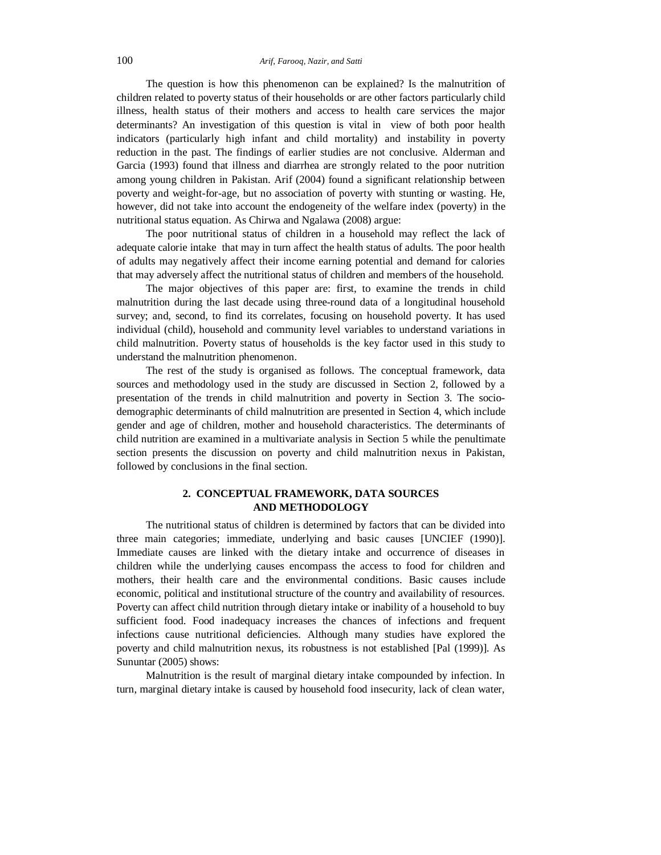The question is how this phenomenon can be explained? Is the malnutrition of children related to poverty status of their households or are other factors particularly child illness, health status of their mothers and access to health care services the major determinants? An investigation of this question is vital in view of both poor health indicators (particularly high infant and child mortality) and instability in poverty reduction in the past. The findings of earlier studies are not conclusive. Alderman and Garcia (1993) found that illness and diarrhea are strongly related to the poor nutrition among young children in Pakistan. Arif (2004) found a significant relationship between poverty and weight-for-age, but no association of poverty with stunting or wasting. He, however, did not take into account the endogeneity of the welfare index (poverty) in the nutritional status equation. As Chirwa and Ngalawa (2008) argue:

The poor nutritional status of children in a household may reflect the lack of adequate calorie intake that may in turn affect the health status of adults. The poor health of adults may negatively affect their income earning potential and demand for calories that may adversely affect the nutritional status of children and members of the household.

The major objectives of this paper are: first, to examine the trends in child malnutrition during the last decade using three-round data of a longitudinal household survey; and, second, to find its correlates, focusing on household poverty. It has used individual (child), household and community level variables to understand variations in child malnutrition. Poverty status of households is the key factor used in this study to understand the malnutrition phenomenon.

The rest of the study is organised as follows. The conceptual framework, data sources and methodology used in the study are discussed in Section 2, followed by a presentation of the trends in child malnutrition and poverty in Section 3. The sociodemographic determinants of child malnutrition are presented in Section 4, which include gender and age of children, mother and household characteristics. The determinants of child nutrition are examined in a multivariate analysis in Section 5 while the penultimate section presents the discussion on poverty and child malnutrition nexus in Pakistan, followed by conclusions in the final section.

# **2. CONCEPTUAL FRAMEWORK, DATA SOURCES AND METHODOLOGY**

The nutritional status of children is determined by factors that can be divided into three main categories; immediate, underlying and basic causes [UNCIEF (1990)]. Immediate causes are linked with the dietary intake and occurrence of diseases in children while the underlying causes encompass the access to food for children and mothers, their health care and the environmental conditions. Basic causes include economic, political and institutional structure of the country and availability of resources. Poverty can affect child nutrition through dietary intake or inability of a household to buy sufficient food. Food inadequacy increases the chances of infections and frequent infections cause nutritional deficiencies. Although many studies have explored the poverty and child malnutrition nexus, its robustness is not established [Pal (1999)]. As Sununtar (2005) shows:

Malnutrition is the result of marginal dietary intake compounded by infection. In turn, marginal dietary intake is caused by household food insecurity, lack of clean water,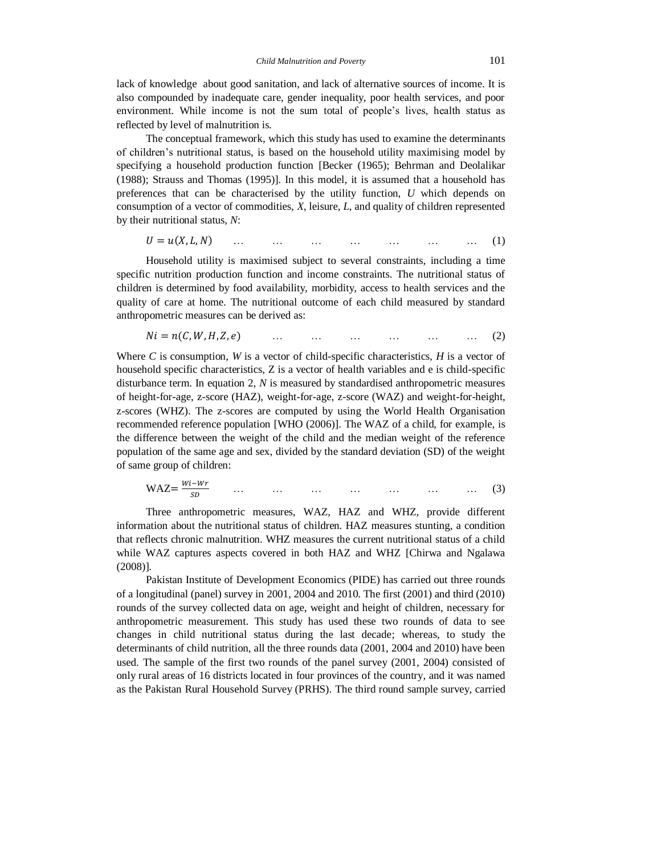lack of knowledge about good sanitation, and lack of alternative sources of income. It is also compounded by inadequate care, gender inequality, poor health services, and poor environment. While income is not the sum total of people's lives, health status as reflected by level of malnutrition is.

The conceptual framework, which this study has used to examine the determinants of children's nutritional status, is based on the household utility maximising model by specifying a household production function [Becker (1965); Behrman and Deolalikar (1988); Strauss and Thomas (1995)]. In this model, it is assumed that a household has preferences that can be characterised by the utility function, *U* which depends on consumption of a vector of commodities, *X*, leisure, *L*, and quality of children represented by their nutritional status, *N*:

 $U = u(X, L, N)$  … … … … … … … … (1)

Household utility is maximised subject to several constraints, including a time specific nutrition production function and income constraints. The nutritional status of children is determined by food availability, morbidity, access to health services and the quality of care at home. The nutritional outcome of each child measured by standard anthropometric measures can be derived as:

$$
Ni = n(C, W, H, Z, e)
$$
 ... ... ... ... ... ... ... (2)

Where *C* is consumption, *W* is a vector of child-specific characteristics, *H* is a vector of household specific characteristics, Z is a vector of health variables and e is child-specific disturbance term. In equation 2, *N* is measured by standardised anthropometric measures of height-for-age, z-score (HAZ), weight-for-age, z-score (WAZ) and weight-for-height, z-scores (WHZ). The z-scores are computed by using the World Health Organisation recommended reference population [WHO (2006)]. The WAZ of a child, for example, is the difference between the weight of the child and the median weight of the reference population of the same age and sex, divided by the standard deviation (SD) of the weight of same group of children:

$$
WAZ = \frac{Wi - Wr}{SD} \qquad \dots \qquad \dots \qquad \dots \qquad \dots \qquad \dots \qquad \dots \qquad \dots \qquad (3)
$$

Three anthropometric measures, WAZ, HAZ and WHZ, provide different information about the nutritional status of children. HAZ measures stunting, a condition that reflects chronic malnutrition. WHZ measures the current nutritional status of a child while WAZ captures aspects covered in both HAZ and WHZ [Chirwa and Ngalawa (2008)].

Pakistan Institute of Development Economics (PIDE) has carried out three rounds of a longitudinal (panel) survey in 2001, 2004 and 2010. The first (2001) and third (2010) rounds of the survey collected data on age, weight and height of children, necessary for anthropometric measurement. This study has used these two rounds of data to see changes in child nutritional status during the last decade; whereas, to study the determinants of child nutrition, all the three rounds data (2001, 2004 and 2010) have been used. The sample of the first two rounds of the panel survey (2001, 2004) consisted of only rural areas of 16 districts located in four provinces of the country, and it was named as the Pakistan Rural Household Survey (PRHS). The third round sample survey, carried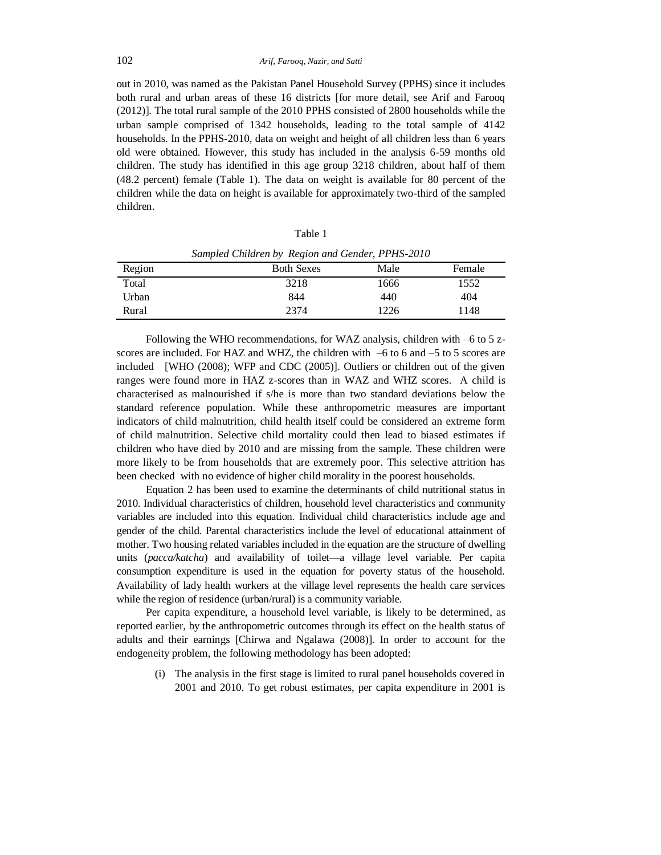out in 2010, was named as the Pakistan Panel Household Survey (PPHS) since it includes both rural and urban areas of these 16 districts [for more detail, see Arif and Farooq (2012)]. The total rural sample of the 2010 PPHS consisted of 2800 households while the urban sample comprised of 1342 households, leading to the total sample of 4142 households. In the PPHS-2010, data on weight and height of all children less than 6 years old were obtained. However, this study has included in the analysis 6-59 months old children. The study has identified in this age group 3218 children, about half of them (48.2 percent) female (Table 1). The data on weight is available for 80 percent of the children while the data on height is available for approximately two-third of the sampled children.

| ٠<br>×<br>۰, |  |
|--------------|--|
|--------------|--|

|        | Samplea Chilaten by Region and Genaer, 11113-2010 |      |        |
|--------|---------------------------------------------------|------|--------|
| Region | <b>Both Sexes</b>                                 | Male | Female |
| Total  | 3218                                              | 1666 | 1552   |
| Urban  | 844                                               | 440  | 404    |
| Rural  | 2374                                              | 1226 | 1148   |

*Sampled Children by Region and Gender, PPHS-2010*

Following the WHO recommendations, for WAZ analysis, children with –6 to 5 zscores are included. For HAZ and WHZ, the children with –6 to 6 and –5 to 5 scores are included [WHO (2008); WFP and CDC (2005)]. Outliers or children out of the given ranges were found more in HAZ z-scores than in WAZ and WHZ scores. A child is characterised as malnourished if s/he is more than two standard deviations below the standard reference population. While these anthropometric measures are important indicators of child malnutrition, child health itself could be considered an extreme form of child malnutrition. Selective child mortality could then lead to biased estimates if children who have died by 2010 and are missing from the sample. These children were more likely to be from households that are extremely poor. This selective attrition has been checked with no evidence of higher child morality in the poorest households.

Equation 2 has been used to examine the determinants of child nutritional status in 2010. Individual characteristics of children, household level characteristics and community variables are included into this equation. Individual child characteristics include age and gender of the child. Parental characteristics include the level of educational attainment of mother. Two housing related variables included in the equation are the structure of dwelling units (*pacca/katcha*) and availability of toilet—a village level variable. Per capita consumption expenditure is used in the equation for poverty status of the household. Availability of lady health workers at the village level represents the health care services while the region of residence (urban/rural) is a community variable.

Per capita expenditure, a household level variable, is likely to be determined, as reported earlier, by the anthropometric outcomes through its effect on the health status of adults and their earnings [Chirwa and Ngalawa (2008)]. In order to account for the endogeneity problem, the following methodology has been adopted:

(i) The analysis in the first stage is limited to rural panel households covered in 2001 and 2010. To get robust estimates, per capita expenditure in 2001 is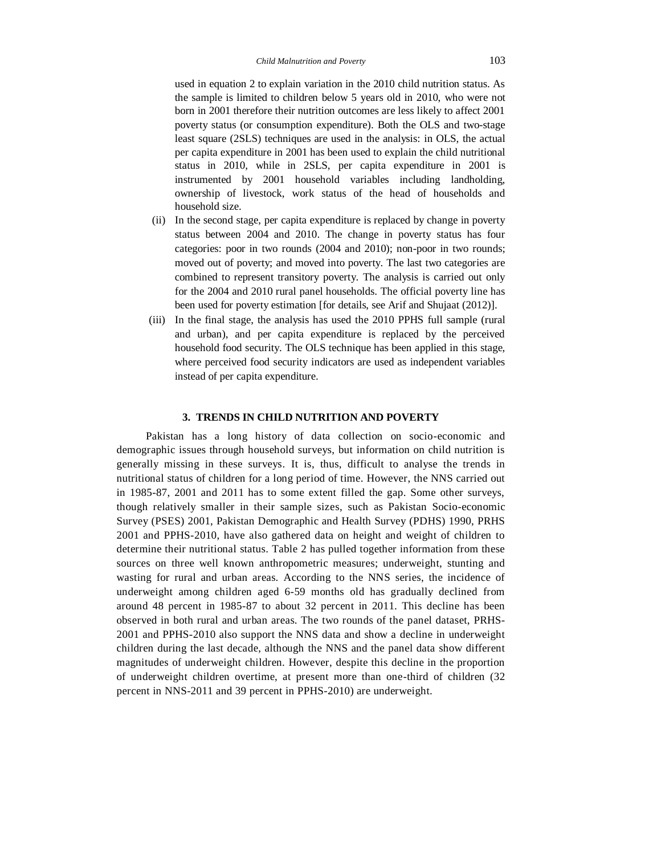used in equation 2 to explain variation in the 2010 child nutrition status. As the sample is limited to children below 5 years old in 2010, who were not born in 2001 therefore their nutrition outcomes are less likely to affect 2001 poverty status (or consumption expenditure). Both the OLS and two-stage least square (2SLS) techniques are used in the analysis: in OLS, the actual per capita expenditure in 2001 has been used to explain the child nutritional status in 2010, while in 2SLS, per capita expenditure in 2001 is instrumented by 2001 household variables including landholding, ownership of livestock, work status of the head of households and household size.

- (ii) In the second stage, per capita expenditure is replaced by change in poverty status between 2004 and 2010. The change in poverty status has four categories: poor in two rounds (2004 and 2010); non-poor in two rounds; moved out of poverty; and moved into poverty. The last two categories are combined to represent transitory poverty. The analysis is carried out only for the 2004 and 2010 rural panel households. The official poverty line has been used for poverty estimation [for details, see Arif and Shujaat (2012)].
- (iii) In the final stage, the analysis has used the 2010 PPHS full sample (rural and urban), and per capita expenditure is replaced by the perceived household food security. The OLS technique has been applied in this stage, where perceived food security indicators are used as independent variables instead of per capita expenditure.

#### **3. TRENDS IN CHILD NUTRITION AND POVERTY**

Pakistan has a long history of data collection on socio-economic and demographic issues through household surveys, but information on child nutrition is generally missing in these surveys. It is, thus, difficult to analyse the trends in nutritional status of children for a long period of time. However, the NNS carried out in 1985-87, 2001 and 2011 has to some extent filled the gap. Some other surveys, though relatively smaller in their sample sizes, such as Pakistan Socio-economic Survey (PSES) 2001, Pakistan Demographic and Health Survey (PDHS) 1990, PRHS 2001 and PPHS-2010, have also gathered data on height and weight of children to determine their nutritional status. Table 2 has pulled together information from these sources on three well known anthropometric measures; underweight, stunting and wasting for rural and urban areas. According to the NNS series, the incidence of underweight among children aged 6-59 months old has gradually declined from around 48 percent in 1985-87 to about 32 percent in 2011. This decline has been observed in both rural and urban areas. The two rounds of the panel dataset, PRHS-2001 and PPHS-2010 also support the NNS data and show a decline in underweight children during the last decade, although the NNS and the panel data show different magnitudes of underweight children. However, despite this decline in the proportion of underweight children overtime, at present more than one-third of children (32 percent in NNS-2011 and 39 percent in PPHS-2010) are underweight.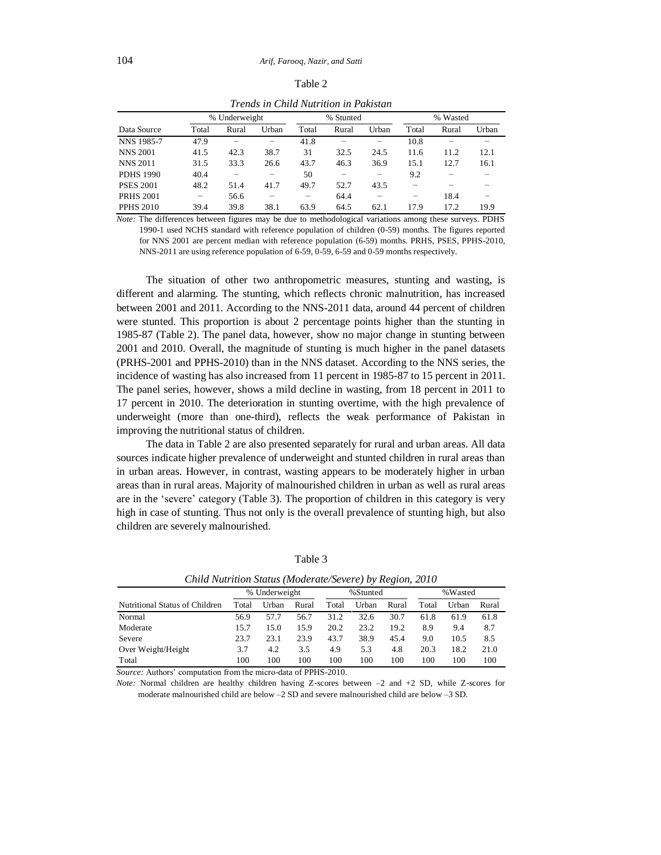|                  | Trends in Child Nutrition in Pakistan |       |       |       |          |       |       |       |       |
|------------------|---------------------------------------|-------|-------|-------|----------|-------|-------|-------|-------|
|                  | % Underweight<br>% Stunted            |       |       |       | % Wasted |       |       |       |       |
| Data Source      | Total                                 | Rural | Urban | Total | Rural    | Urban | Total | Rural | Urban |
| NNS 1985-7       | 47.9                                  |       |       | 41.8  |          |       | 10.8  |       |       |
| <b>NNS 2001</b>  | 41.5                                  | 42.3  | 38.7  | 31    | 32.5     | 24.5  | 11.6  | 11.2  | 12.1  |
| <b>NNS 2011</b>  | 31.5                                  | 33.3  | 26.6  | 43.7  | 46.3     | 36.9  | 15.1  | 12.7  | 16.1  |
| <b>PDHS 1990</b> | 40.4                                  |       |       | 50    |          |       | 9.2   |       |       |
| <b>PSES 2001</b> | 48.2                                  | 51.4  | 41.7  | 49.7  | 52.7     | 43.5  |       |       |       |
| <b>PRHS 2001</b> | $\overline{\phantom{0}}$              | 56.6  |       |       | 64.4     |       | -     | 18.4  |       |
| <b>PPHS 2010</b> | 39.4                                  | 39.8  | 38.1  | 63.9  | 64.5     | 62.1  | 17.9  | 17.2  | 19.9  |

Table 2

*Note:* The differences between figures may be due to methodological variations among these surveys. PDHS 1990-1 used NCHS standard with reference population of children (0-59) months. The figures reported for NNS 2001 are percent median with reference population (6-59) months. PRHS, PSES, PPHS-2010, NNS-2011 are using reference population of 6-59, 0-59, 6-59 and 0-59 months respectively.

The situation of other two anthropometric measures, stunting and wasting, is different and alarming. The stunting, which reflects chronic malnutrition, has increased between 2001 and 2011. According to the NNS-2011 data, around 44 percent of children were stunted. This proportion is about 2 percentage points higher than the stunting in 1985-87 (Table 2). The panel data, however, show no major change in stunting between 2001 and 2010. Overall, the magnitude of stunting is much higher in the panel datasets (PRHS-2001 and PPHS-2010) than in the NNS dataset. According to the NNS series, the incidence of wasting has also increased from 11 percent in 1985-87 to 15 percent in 2011. The panel series, however, shows a mild decline in wasting, from 18 percent in 2011 to 17 percent in 2010. The deterioration in stunting overtime, with the high prevalence of underweight (more than one-third), reflects the weak performance of Pakistan in improving the nutritional status of children.

The data in Table 2 are also presented separately for rural and urban areas. All data sources indicate higher prevalence of underweight and stunted children in rural areas than in urban areas. However, in contrast, wasting appears to be moderately higher in urban areas than in rural areas. Majority of malnourished children in urban as well as rural areas are in the 'severe' category (Table 3). The proportion of children in this category is very high in case of stunting. Thus not only is the overall prevalence of stunting high, but also children are severely malnourished.

|                                |       | % Underweight |       | %Stunted |       |       | %Wasted |       |       |
|--------------------------------|-------|---------------|-------|----------|-------|-------|---------|-------|-------|
| Nutritional Status of Children | Total | Urban         | Rural | Total    | Urban | Rural | Total   | Urban | Rural |
| Normal                         | 56.9  | 57.7          | 56.7  | 31.2     | 32.6  | 30.7  | 61.8    | 61.9  | 61.8  |
| Moderate                       | 15.7  | 15.0          | 15.9  | 20.2     | 23.2  | 19.2  | 8.9     | 9.4   | 8.7   |
| Severe                         | 23.7  | 23.1          | 23.9  | 43.7     | 38.9  | 45.4  | 9.0     | 10.5  | 8.5   |
| Over Weight/Height             | 3.7   | 4.2           | 3.5   | 4.9      | 5.3   | 4.8   | 20.3    | 18.2  | 21.0  |
| Total                          | 100   | 100           | 100   | 100      | 100   | 100   | 100     | 100   | 100   |

Table 3

*Child Nutrition Status (Moderate/Severe) by Region, 2010*

*Source:* Authors' computation from the micro-data of PPHS-2010.

*Note:* Normal children are healthy children having Z-scores between –2 and +2 SD, while Z-scores for moderate malnourished child are below –2 SD and severe malnourished child are below –3 SD.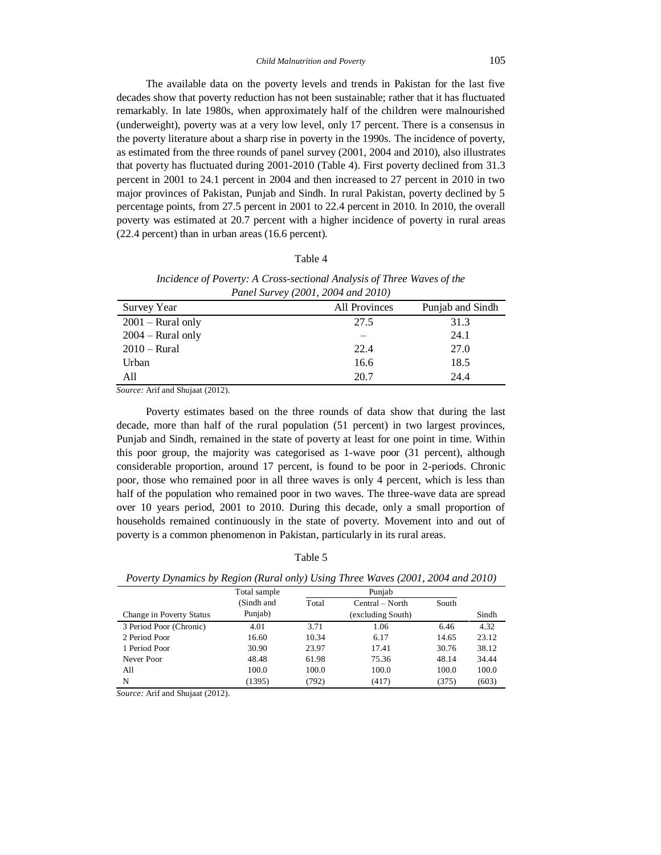The available data on the poverty levels and trends in Pakistan for the last five decades show that poverty reduction has not been sustainable; rather that it has fluctuated remarkably. In late 1980s, when approximately half of the children were malnourished (underweight), poverty was at a very low level, only 17 percent. There is a consensus in the poverty literature about a sharp rise in poverty in the 1990s. The incidence of poverty, as estimated from the three rounds of panel survey (2001, 2004 and 2010), also illustrates that poverty has fluctuated during 2001-2010 (Table 4). First poverty declined from 31.3 percent in 2001 to 24.1 percent in 2004 and then increased to 27 percent in 2010 in two major provinces of Pakistan, Punjab and Sindh. In rural Pakistan, poverty declined by 5 percentage points, from 27.5 percent in 2001 to 22.4 percent in 2010. In 2010, the overall poverty was estimated at 20.7 percent with a higher incidence of poverty in rural areas (22.4 percent) than in urban areas (16.6 percent).

#### Table 4

| Panel Survey (2001, 2004 and 2010) |                      |                  |  |  |  |  |
|------------------------------------|----------------------|------------------|--|--|--|--|
| <b>Survey Year</b>                 | <b>All Provinces</b> | Punjab and Sindh |  |  |  |  |
| $2001 -$ Rural only                | 27.5                 | 31.3             |  |  |  |  |
| $2004 - Rural only$                |                      | 24.1             |  |  |  |  |
| $2010 - Rural$                     | 22.4                 | 27.0             |  |  |  |  |
| Urban                              | 16.6                 | 18.5             |  |  |  |  |
| All                                | 20.7                 | 24.4             |  |  |  |  |

*Incidence of Poverty: A Cross-sectional Analysis of Three Waves of the Panel Survey (2001, 2004 and 2010)*

*Source:* Arif and Shujaat (2012).

Poverty estimates based on the three rounds of data show that during the last decade, more than half of the rural population (51 percent) in two largest provinces, Punjab and Sindh, remained in the state of poverty at least for one point in time. Within this poor group, the majority was categorised as 1-wave poor (31 percent), although considerable proportion, around 17 percent, is found to be poor in 2-periods. Chronic poor, those who remained poor in all three waves is only 4 percent, which is less than half of the population who remained poor in two waves. The three-wave data are spread over 10 years period, 2001 to 2010. During this decade, only a small proportion of households remained continuously in the state of poverty. Movement into and out of poverty is a common phenomenon in Pakistan, particularly in its rural areas.

| ٠.<br>× |  |
|---------|--|
|---------|--|

| Poverty Dynamics by Region (Rural only) Using Three Waves (2001, 2004 and 2010) |  |  |
|---------------------------------------------------------------------------------|--|--|
|                                                                                 |  |  |

|                          | Total sample |       | Punjab            |       |       |
|--------------------------|--------------|-------|-------------------|-------|-------|
|                          | (Sindh and   | Total | Central – North   | South |       |
| Change in Poverty Status | Punjab)      |       | (excluding South) |       | Sindh |
| 3 Period Poor (Chronic)  | 4.01         | 3.71  | 1.06              | 6.46  | 4.32  |
| 2 Period Poor            | 16.60        | 10.34 | 6.17              | 14.65 | 23.12 |
| 1 Period Poor            | 30.90        | 23.97 | 17.41             | 30.76 | 38.12 |
| Never Poor               | 48.48        | 61.98 | 75.36             | 48.14 | 34.44 |
| All                      | 100.0        | 100.0 | 100.0             | 100.0 | 100.0 |
| N                        | (1395)       | (792) | (417)             | (375) | (603) |
|                          |              |       |                   |       |       |

*Source:* Arif and Shujaat (2012).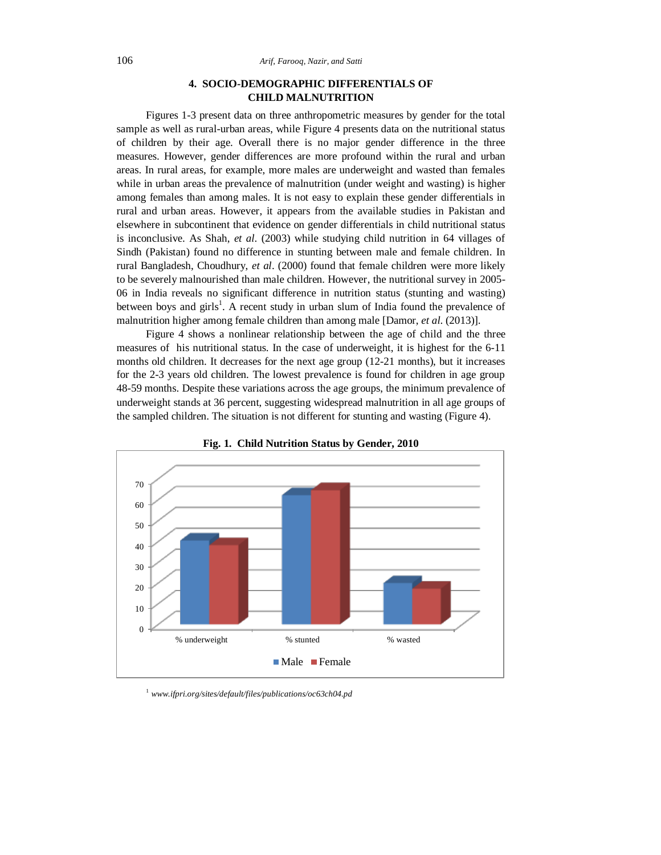# **4. SOCIO-DEMOGRAPHIC DIFFERENTIALS OF CHILD MALNUTRITION**

Figures 1-3 present data on three anthropometric measures by gender for the total sample as well as rural-urban areas, while Figure 4 presents data on the nutritional status of children by their age. Overall there is no major gender difference in the three measures. However, gender differences are more profound within the rural and urban areas. In rural areas, for example, more males are underweight and wasted than females while in urban areas the prevalence of malnutrition (under weight and wasting) is higher among females than among males. It is not easy to explain these gender differentials in rural and urban areas. However, it appears from the available studies in Pakistan and elsewhere in subcontinent that evidence on gender differentials in child nutritional status is inconclusive. As Shah, *et al*. (2003) while studying child nutrition in 64 villages of Sindh (Pakistan) found no difference in stunting between male and female children. In rural Bangladesh, Choudhury, *et al*. (2000) found that female children were more likely to be severely malnourished than male children. However, the nutritional survey in 2005- 06 in India reveals no significant difference in nutrition status (stunting and wasting) between boys and girls<sup>1</sup>. A recent study in urban slum of India found the prevalence of malnutrition higher among female children than among male [Damor, *et al*. (2013)].

Figure 4 shows a nonlinear relationship between the age of child and the three measures of his nutritional status. In the case of underweight, it is highest for the 6-11 months old children. It decreases for the next age group (12-21 months), but it increases for the 2-3 years old children. The lowest prevalence is found for children in age group 48-59 months. Despite these variations across the age groups, the minimum prevalence of underweight stands at 36 percent, suggesting widespread malnutrition in all age groups of the sampled children. The situation is not different for stunting and wasting (Figure 4).



**Fig. 1. Child Nutrition Status by Gender, 2010**

<sup>1</sup> *www.ifpri.org/sites/default/files/publications/oc63ch04.pd*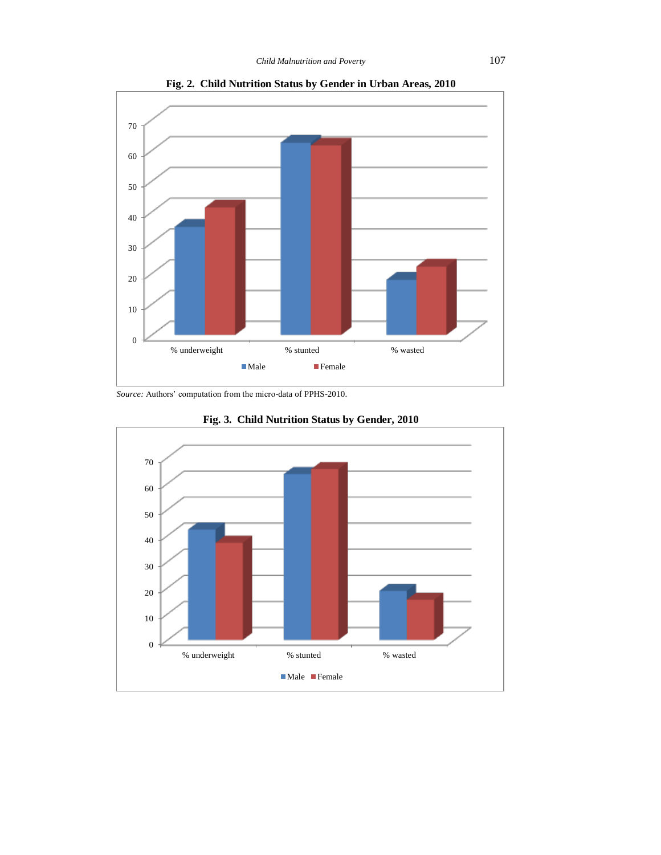

**Fig. 2. Child Nutrition Status by Gender in Urban Areas, 2010**

*Source:* Authors' computation from the micro-data of PPHS-2010.



**Fig. 3. Child Nutrition Status by Gender, 2010**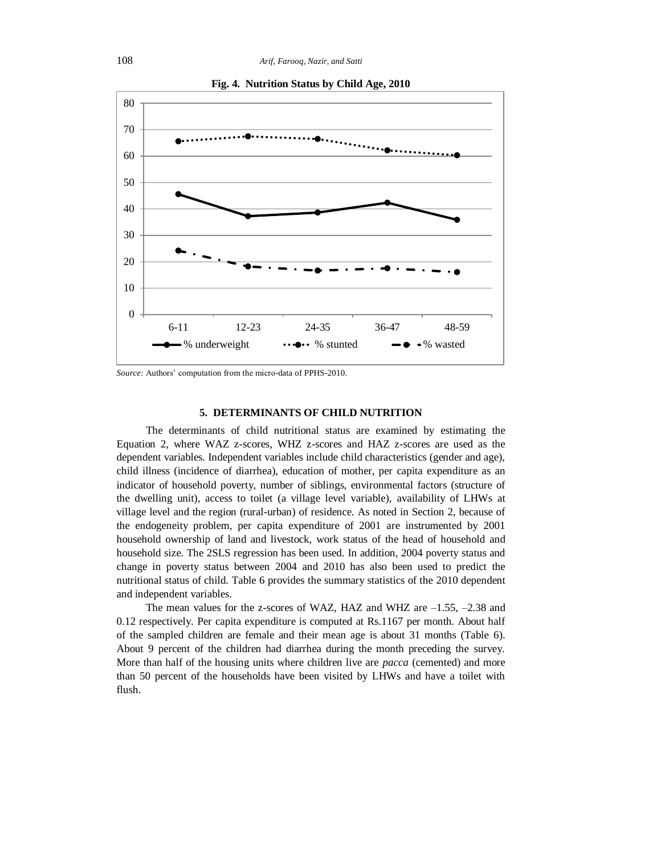

**Fig. 4. Nutrition Status by Child Age, 2010**

*Source:* Authors' computation from the micro-data of PPHS-2010.

#### **5. DETERMINANTS OF CHILD NUTRITION**

The determinants of child nutritional status are examined by estimating the Equation 2, where WAZ z-scores, WHZ z-scores and HAZ z-scores are used as the dependent variables. Independent variables include child characteristics (gender and age), child illness (incidence of diarrhea), education of mother, per capita expenditure as an indicator of household poverty, number of siblings, environmental factors (structure of the dwelling unit), access to toilet (a village level variable), availability of LHWs at village level and the region (rural-urban) of residence. As noted in Section 2, because of the endogeneity problem, per capita expenditure of 2001 are instrumented by 2001 household ownership of land and livestock, work status of the head of household and household size. The 2SLS regression has been used. In addition, 2004 poverty status and change in poverty status between 2004 and 2010 has also been used to predict the nutritional status of child. Table 6 provides the summary statistics of the 2010 dependent and independent variables.

The mean values for the z-scores of WAZ, HAZ and WHZ are –1.55, –2.38 and 0.12 respectively. Per capita expenditure is computed at Rs.1167 per month. About half of the sampled children are female and their mean age is about 31 months (Table 6). About 9 percent of the children had diarrhea during the month preceding the survey. More than half of the housing units where children live are *pacca* (cemented) and more than 50 percent of the households have been visited by LHWs and have a toilet with flush.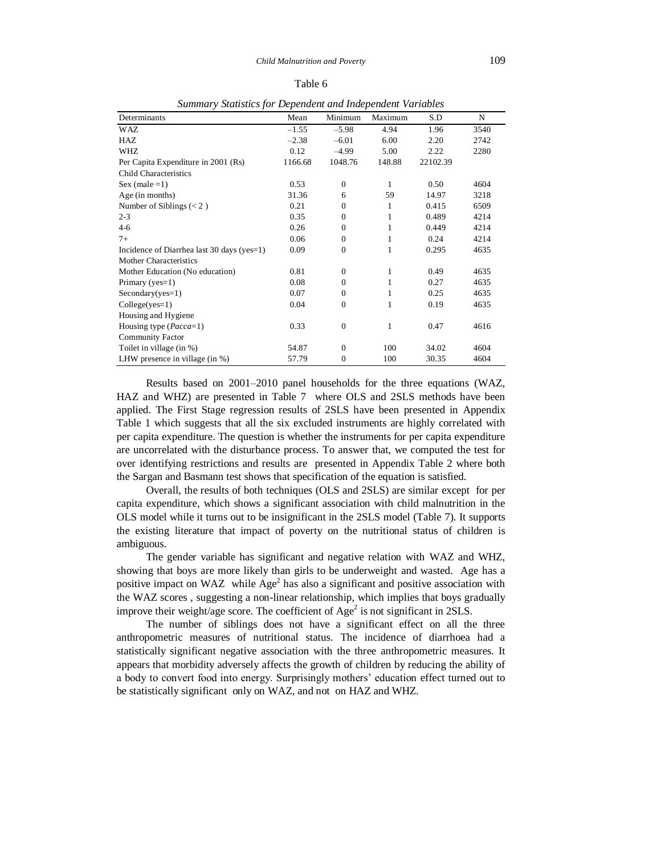#### Table 6

| зитний у знаизись јог Беренцени ини тицеренцени у агнилез |         |              |              |          |      |  |  |
|-----------------------------------------------------------|---------|--------------|--------------|----------|------|--|--|
| Determinants                                              | Mean    | Minimum      | Maximum      | S.D      | N    |  |  |
| WAZ                                                       | $-1.55$ | $-5.98$      | 4.94         | 1.96     | 3540 |  |  |
| HAZ                                                       | $-2.38$ | $-6.01$      | 6.00         | 2.20     | 2742 |  |  |
| WHZ                                                       | 0.12    | $-4.99$      | 5.00         | 2.22     | 2280 |  |  |
| Per Capita Expenditure in 2001 (Rs)                       | 1166.68 | 1048.76      | 148.88       | 22102.39 |      |  |  |
| Child Characteristics                                     |         |              |              |          |      |  |  |
| Sex (male $=1$ )                                          | 0.53    | $\mathbf{0}$ | $\mathbf{1}$ | 0.50     | 4604 |  |  |
| Age (in months)                                           | 31.36   | 6            | 59           | 14.97    | 3218 |  |  |
| Number of Siblings $(< 2)$                                | 0.21    | $\Omega$     | 1            | 0.415    | 6509 |  |  |
| $2 - 3$                                                   | 0.35    | $\mathbf{0}$ | 1            | 0.489    | 4214 |  |  |
| $4 - 6$                                                   | 0.26    | $\mathbf{0}$ | 1            | 0.449    | 4214 |  |  |
| $7+$                                                      | 0.06    | $\mathbf{0}$ | 1            | 0.24     | 4214 |  |  |
| Incidence of Diarrhea last 30 days (yes=1)                | 0.09    | $\mathbf{0}$ | 1            | 0.295    | 4635 |  |  |
| <b>Mother Characteristics</b>                             |         |              |              |          |      |  |  |
| Mother Education (No education)                           | 0.81    | $\Omega$     | 1            | 0.49     | 4635 |  |  |
| Primary ( $yes=1$ )                                       | 0.08    | $\Omega$     | 1            | 0.27     | 4635 |  |  |
| $Secondary(yes=1)$                                        | 0.07    | $\Omega$     | 1            | 0.25     | 4635 |  |  |
| $Collectives=1)$                                          | 0.04    | $\mathbf{0}$ | 1            | 0.19     | 4635 |  |  |
| Housing and Hygiene                                       |         |              |              |          |      |  |  |
| Housing type ( <i>Pacca</i> =1)                           | 0.33    | $\mathbf{0}$ | 1            | 0.47     | 4616 |  |  |
| <b>Community Factor</b>                                   |         |              |              |          |      |  |  |
| Toilet in village (in %)                                  | 54.87   | $\Omega$     | 100          | 34.02    | 4604 |  |  |
| LHW presence in village (in $\%$ )                        | 57.79   | $\mathbf{0}$ | 100          | 30.35    | 4604 |  |  |

*Summary Statistics for Dependent and Independent Variables*

Results based on 2001–2010 panel households for the three equations (WAZ, HAZ and WHZ) are presented in Table 7 where OLS and 2SLS methods have been applied. The First Stage regression results of 2SLS have been presented in Appendix Table 1 which suggests that all the six excluded instruments are highly correlated with per capita expenditure. The question is whether the instruments for per capita expenditure are uncorrelated with the disturbance process. To answer that, we computed the test for over identifying restrictions and results are presented in Appendix Table 2 where both the Sargan and Basmann test shows that specification of the equation is satisfied.

Overall, the results of both techniques (OLS and 2SLS) are similar except for per capita expenditure, which shows a significant association with child malnutrition in the OLS model while it turns out to be insignificant in the 2SLS model (Table 7). It supports the existing literature that impact of poverty on the nutritional status of children is ambiguous.

The gender variable has significant and negative relation with WAZ and WHZ, showing that boys are more likely than girls to be underweight and wasted. Age has a positive impact on WAZ while  $Age^2$  has also a significant and positive association with the WAZ scores , suggesting a non-linear relationship, which implies that boys gradually improve their weight/age score. The coefficient of  $Age^2$  is not significant in 2SLS.

The number of siblings does not have a significant effect on all the three anthropometric measures of nutritional status. The incidence of diarrhoea had a statistically significant negative association with the three anthropometric measures. It appears that morbidity adversely affects the growth of children by reducing the ability of a body to convert food into energy. Surprisingly mothers' education effect turned out to be statistically significant only on WAZ, and not on HAZ and WHZ.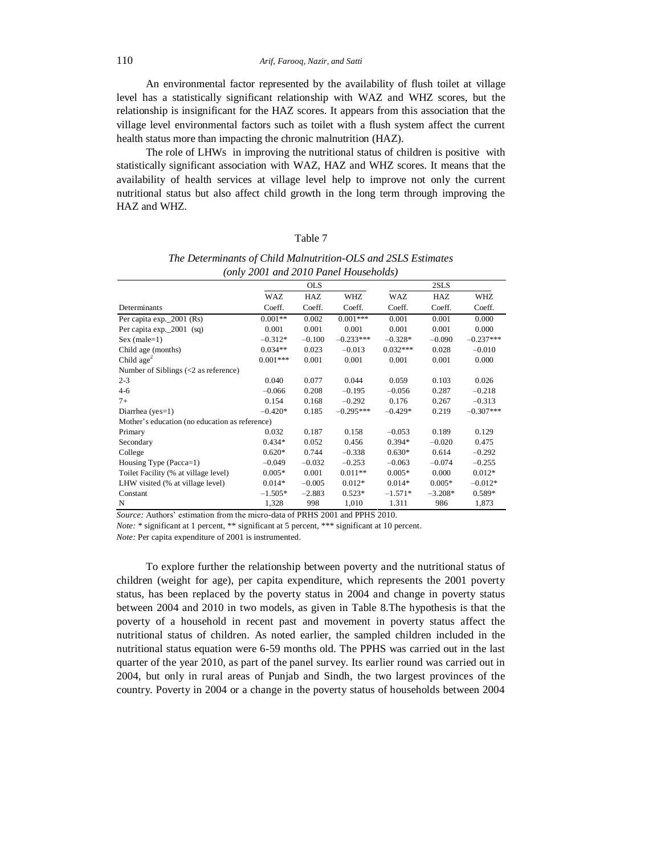110 *Arif, Farooq, Nazir, and Satti*

An environmental factor represented by the availability of flush toilet at village level has a statistically significant relationship with WAZ and WHZ scores, but the relationship is insignificant for the HAZ scores. It appears from this association that the village level environmental factors such as toilet with a flush system affect the current health status more than impacting the chronic malnutrition (HAZ).

The role of LHWs in improving the nutritional status of children is positive with statistically significant association with WAZ, HAZ and WHZ scores. It means that the availability of health services at village level help to improve not only the current nutritional status but also affect child growth in the long term through improving the HAZ and WHZ.

# Table 7

|                                                                     | $\{0.00, 1.00, 1.00, 1.00, 1.00, 1.00, 1.00, 1.00, 1.00, 1.00, 1.00, 1.00, 1.00, 1.00, 1.00, 1.00, 1.00, 1.00, 1.00, 1.00, 1.00, 1.00, 1.00, 1.00, 1.00, 1.00, 1.00, 1.00, 1.00, 1.00, 1.00, 1.00, 1.00, 1.00, 1.00, 1.00, 1.$ |            |             |            |           |             |  |  |  |
|---------------------------------------------------------------------|--------------------------------------------------------------------------------------------------------------------------------------------------------------------------------------------------------------------------------|------------|-------------|------------|-----------|-------------|--|--|--|
|                                                                     |                                                                                                                                                                                                                                | <b>OLS</b> |             |            | 2SLS      |             |  |  |  |
|                                                                     | WAZ                                                                                                                                                                                                                            | HAZ        | WHZ         | <b>WAZ</b> | HAZ       | WHZ         |  |  |  |
| Determinants                                                        | Coeff.                                                                                                                                                                                                                         | Coeff.     | Coeff.      | Coeff.     | Coeff.    | Coeff.      |  |  |  |
| Per capita exp. 2001 (Rs)                                           | $0.001**$                                                                                                                                                                                                                      | 0.002      | $0.001***$  | 0.001      | 0.001     | 0.000       |  |  |  |
| Per capita $exp.2001$ (sq)                                          | 0.001                                                                                                                                                                                                                          | 0.001      | 0.001       | 0.001      | 0.001     | 0.000       |  |  |  |
| $Sex (male=1)$                                                      | $-0.312*$                                                                                                                                                                                                                      | $-0.100$   | $-0.233***$ | $-0.328*$  | $-0.090$  | $-0.237***$ |  |  |  |
| Child age (months)                                                  | $0.034**$                                                                                                                                                                                                                      | 0.023      | $-0.013$    | $0.032***$ | 0.028     | $-0.010$    |  |  |  |
| Child age $2$                                                       | $0.001***$                                                                                                                                                                                                                     | 0.001      | 0.001       | 0.001      | 0.001     | 0.000       |  |  |  |
| Number of Siblings $\left( \langle 2 \rangle \right)$ as reference) |                                                                                                                                                                                                                                |            |             |            |           |             |  |  |  |
| $2 - 3$                                                             | 0.040                                                                                                                                                                                                                          | 0.077      | 0.044       | 0.059      | 0.103     | 0.026       |  |  |  |
| $4-6$                                                               | $-0.066$                                                                                                                                                                                                                       | 0.208      | $-0.195$    | $-0.056$   | 0.287     | $-0.218$    |  |  |  |
| $7+$                                                                | 0.154                                                                                                                                                                                                                          | 0.168      | $-0.292$    | 0.176      | 0.267     | $-0.313$    |  |  |  |
| Diarrhea ( $yes=1$ )                                                | $-0.420*$                                                                                                                                                                                                                      | 0.185      | $-0.295***$ | $-0.429*$  | 0.219     | $-0.307***$ |  |  |  |
| Mother's education (no education as reference)                      |                                                                                                                                                                                                                                |            |             |            |           |             |  |  |  |
| Primary                                                             | 0.032                                                                                                                                                                                                                          | 0.187      | 0.158       | $-0.053$   | 0.189     | 0.129       |  |  |  |
| Secondary                                                           | $0.434*$                                                                                                                                                                                                                       | 0.052      | 0.456       | $0.394*$   | $-0.020$  | 0.475       |  |  |  |
| College                                                             | $0.620*$                                                                                                                                                                                                                       | 0.744      | $-0.338$    | $0.630*$   | 0.614     | $-0.292$    |  |  |  |
| Housing Type (Pacca=1)                                              | $-0.049$                                                                                                                                                                                                                       | $-0.032$   | $-0.253$    | $-0.063$   | $-0.074$  | $-0.255$    |  |  |  |
| Toilet Facility (% at village level)                                | $0.005*$                                                                                                                                                                                                                       | 0.001      | $0.011**$   | $0.005*$   | 0.000     | $0.012*$    |  |  |  |
| LHW visited (% at village level)                                    | $0.014*$                                                                                                                                                                                                                       | $-0.005$   | $0.012*$    | $0.014*$   | $0.005*$  | $-0.012*$   |  |  |  |
| Constant                                                            | $-1.505*$                                                                                                                                                                                                                      | $-2.883$   | $0.523*$    | $-1.571*$  | $-3.208*$ | $0.589*$    |  |  |  |
| N                                                                   | 1,328                                                                                                                                                                                                                          | 998        | 1,010       | 1.311      | 986       | 1,873       |  |  |  |

| The Determinants of Child Malnutrition-OLS and 2SLS Estimates |
|---------------------------------------------------------------|
| (only 2001 and 2010 Panel Households)                         |

*Source:* Authors' estimation from the micro-data of PRHS 2001 and PPHS 2010.

*Note:* \* significant at 1 percent, \*\* significant at 5 percent, \*\*\* significant at 10 percent.

*Note:* Per capita expenditure of 2001 is instrumented.

To explore further the relationship between poverty and the nutritional status of children (weight for age), per capita expenditure, which represents the 2001 poverty status, has been replaced by the poverty status in 2004 and change in poverty status between 2004 and 2010 in two models, as given in Table 8.The hypothesis is that the poverty of a household in recent past and movement in poverty status affect the nutritional status of children. As noted earlier, the sampled children included in the nutritional status equation were 6-59 months old. The PPHS was carried out in the last quarter of the year 2010, as part of the panel survey. Its earlier round was carried out in 2004, but only in rural areas of Punjab and Sindh, the two largest provinces of the country. Poverty in 2004 or a change in the poverty status of households between 2004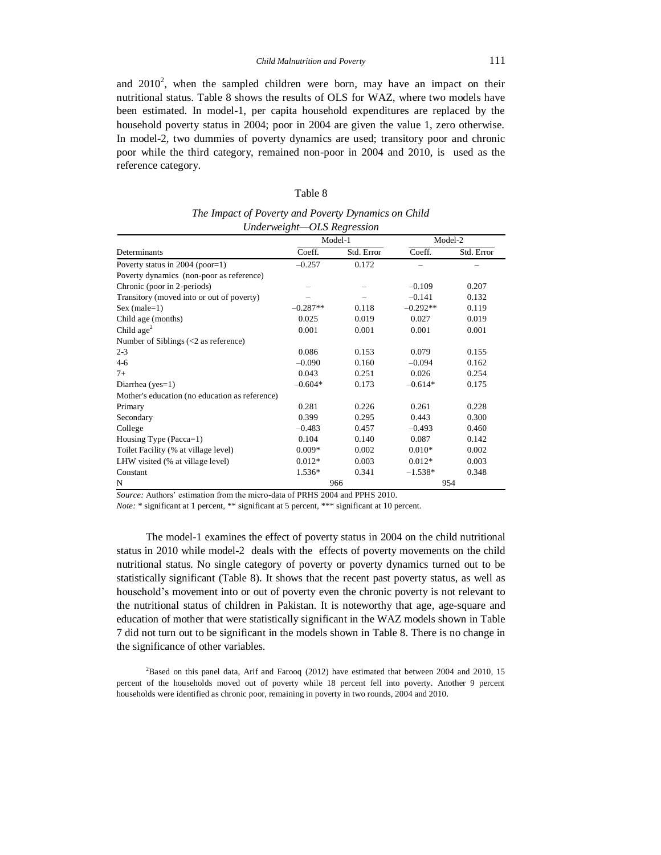and  $2010^2$ , when the sampled children were born, may have an impact on their nutritional status. Table 8 shows the results of OLS for WAZ, where two models have been estimated. In model-1, per capita household expenditures are replaced by the household poverty status in 2004; poor in 2004 are given the value 1, zero otherwise. In model-2, two dummies of poverty dynamics are used; transitory poor and chronic poor while the third category, remained non-poor in 2004 and 2010, is used as the reference category.

| r<br>же<br>₹1. |  |
|----------------|--|
|----------------|--|

*The Impact of Poverty and Poverty Dynamics on Child Underweight—OLS Regression*

|                                                              | Model-1    |            | Model-2    |            |
|--------------------------------------------------------------|------------|------------|------------|------------|
| Determinants                                                 | Coeff.     | Std. Error | Coeff.     | Std. Error |
| Poverty status in $2004$ (poor=1)                            | $-0.257$   | 0.172      |            |            |
| Poverty dynamics (non-poor as reference)                     |            |            |            |            |
| Chronic (poor in 2-periods)                                  |            |            | $-0.109$   | 0.207      |
| Transitory (moved into or out of poverty)                    |            |            | $-0.141$   | 0.132      |
| $Sex (male=1)$                                               | $-0.287**$ | 0.118      | $-0.292**$ | 0.119      |
| Child age (months)                                           | 0.025      | 0.019      | 0.027      | 0.019      |
| Child $age2$                                                 | 0.001      | 0.001      | 0.001      | 0.001      |
| Number of Siblings $\left( < 2 \text{ as reference} \right)$ |            |            |            |            |
| $2 - 3$                                                      | 0.086      | 0.153      | 0.079      | 0.155      |
| 4-6                                                          | $-0.090$   | 0.160      | $-0.094$   | 0.162      |
| $7+$                                                         | 0.043      | 0.251      | 0.026      | 0.254      |
| Diarrhea ( $yes=1$ )                                         | $-0.604*$  | 0.173      | $-0.614*$  | 0.175      |
| Mother's education (no education as reference)               |            |            |            |            |
| Primary                                                      | 0.281      | 0.226      | 0.261      | 0.228      |
| Secondary                                                    | 0.399      | 0.295      | 0.443      | 0.300      |
| College                                                      | $-0.483$   | 0.457      | $-0.493$   | 0.460      |
| Housing Type (Pacca=1)                                       | 0.104      | 0.140      | 0.087      | 0.142      |
| Toilet Facility (% at village level)                         | $0.009*$   | 0.002      | $0.010*$   | 0.002      |
| LHW visited (% at village level)                             | $0.012*$   | 0.003      | $0.012*$   | 0.003      |
| Constant                                                     | 1.536*     | 0.341      | $-1.538*$  | 0.348      |
| N                                                            |            | 966        |            | 954        |

*Source:* Authors' estimation from the micro-data of PRHS 2004 and PPHS 2010.

*Note:* \* significant at 1 percent, \*\* significant at 5 percent, \*\*\* significant at 10 percent.

The model-1 examines the effect of poverty status in 2004 on the child nutritional status in 2010 while model-2 deals with the effects of poverty movements on the child nutritional status. No single category of poverty or poverty dynamics turned out to be statistically significant (Table 8). It shows that the recent past poverty status, as well as household's movement into or out of poverty even the chronic poverty is not relevant to the nutritional status of children in Pakistan. It is noteworthy that age, age-square and education of mother that were statistically significant in the WAZ models shown in Table 7 did not turn out to be significant in the models shown in Table 8. There is no change in the significance of other variables.

<sup>2</sup>Based on this panel data, Arif and Farooq (2012) have estimated that between 2004 and 2010, 15 percent of the households moved out of poverty while 18 percent fell into poverty. Another 9 percent households were identified as chronic poor, remaining in poverty in two rounds, 2004 and 2010.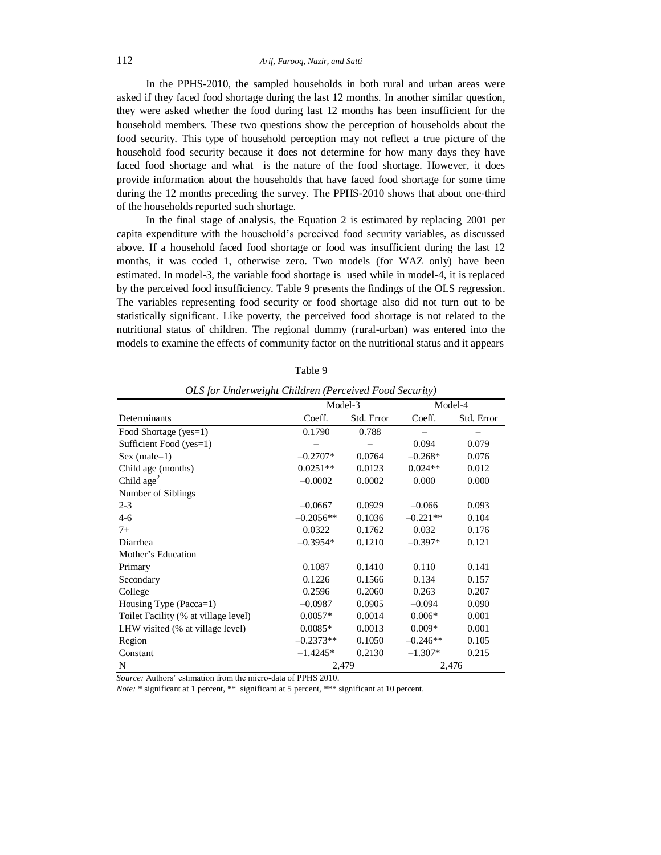In the PPHS-2010, the sampled households in both rural and urban areas were asked if they faced food shortage during the last 12 months. In another similar question, they were asked whether the food during last 12 months has been insufficient for the household members. These two questions show the perception of households about the food security. This type of household perception may not reflect a true picture of the household food security because it does not determine for how many days they have faced food shortage and what is the nature of the food shortage. However, it does provide information about the households that have faced food shortage for some time during the 12 months preceding the survey. The PPHS-2010 shows that about one-third of the households reported such shortage.

In the final stage of analysis, the Equation 2 is estimated by replacing 2001 per capita expenditure with the household's perceived food security variables, as discussed above. If a household faced food shortage or food was insufficient during the last 12 months, it was coded 1, otherwise zero. Two models (for WAZ only) have been estimated. In model-3, the variable food shortage is used while in model-4, it is replaced by the perceived food insufficiency. Table 9 presents the findings of the OLS regression. The variables representing food security or food shortage also did not turn out to be statistically significant. Like poverty, the perceived food shortage is not related to the nutritional status of children. The regional dummy (rural-urban) was entered into the models to examine the effects of community factor on the nutritional status and it appears

| <u>ols for onacrweizhi chuaren (i creeiveu i oou security)</u> |             |            |            |            |  |
|----------------------------------------------------------------|-------------|------------|------------|------------|--|
|                                                                |             | Model-3    |            | Model-4    |  |
| Determinants                                                   | Coeff.      | Std. Error | Coeff.     | Std. Error |  |
| Food Shortage (yes=1)                                          | 0.1790      | 0.788      |            |            |  |
| Sufficient Food (yes=1)                                        |             |            | 0.094      | 0.079      |  |
| $Sex (male=1)$                                                 | $-0.2707*$  | 0.0764     | $-0.268*$  | 0.076      |  |
| Child age (months)                                             | $0.0251**$  | 0.0123     | $0.024**$  | 0.012      |  |
| Child age $2$                                                  | $-0.0002$   | 0.0002     | 0.000      | 0.000      |  |
| Number of Siblings                                             |             |            |            |            |  |
| $2 - 3$                                                        | $-0.0667$   | 0.0929     | $-0.066$   | 0.093      |  |
| $4-6$                                                          | $-0.2056**$ | 0.1036     | $-0.221**$ | 0.104      |  |
| $7+$                                                           | 0.0322      | 0.1762     | 0.032      | 0.176      |  |
| Diarrhea                                                       | $-0.3954*$  | 0.1210     | $-0.397*$  | 0.121      |  |
| Mother's Education                                             |             |            |            |            |  |
| Primary                                                        | 0.1087      | 0.1410     | 0.110      | 0.141      |  |
| Secondary                                                      | 0.1226      | 0.1566     | 0.134      | 0.157      |  |
| College                                                        | 0.2596      | 0.2060     | 0.263      | 0.207      |  |
| Housing Type (Pacca=1)                                         | $-0.0987$   | 0.0905     | $-0.094$   | 0.090      |  |
| Toilet Facility (% at village level)                           | $0.0057*$   | 0.0014     | $0.006*$   | 0.001      |  |
| LHW visited (% at village level)                               | $0.0085*$   | 0.0013     | $0.009*$   | 0.001      |  |
| Region                                                         | $-0.2373**$ | 0.1050     | $-0.246**$ | 0.105      |  |
| Constant                                                       | $-1.4245*$  | 0.2130     | $-1.307*$  | 0.215      |  |
| N                                                              |             | 2,479      |            | 2,476      |  |

Table 9

*OLS for Underweight Children (Perceived Food Security)*

*Source:* Authors' estimation from the micro-data of PPHS 2010.

*Note:* \* significant at 1 percent, \*\* significant at 5 percent, \*\*\* significant at 10 percent.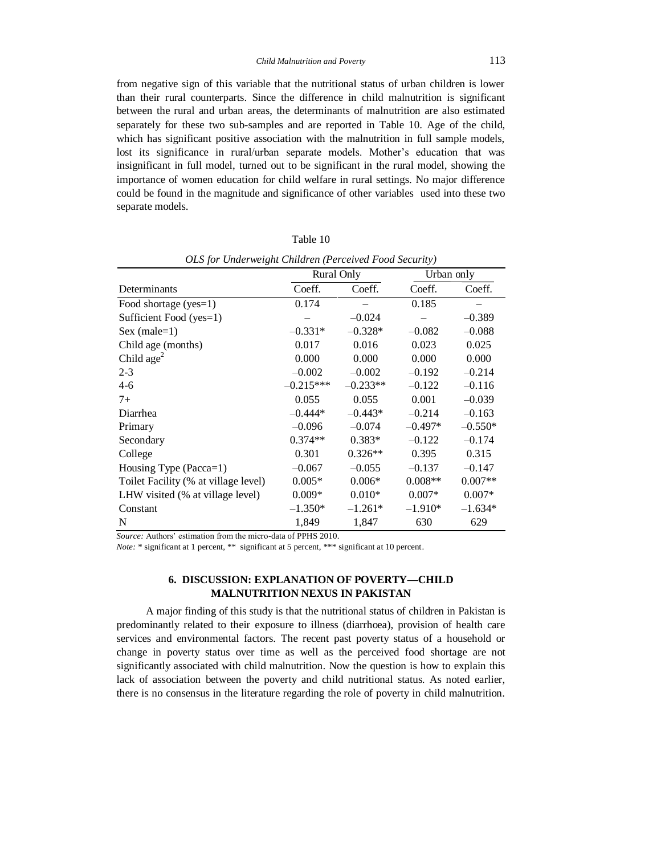from negative sign of this variable that the nutritional status of urban children is lower than their rural counterparts. Since the difference in child malnutrition is significant between the rural and urban areas, the determinants of malnutrition are also estimated separately for these two sub-samples and are reported in Table 10. Age of the child, which has significant positive association with the malnutrition in full sample models, lost its significance in rural/urban separate models. Mother's education that was insignificant in full model, turned out to be significant in the rural model, showing the importance of women education for child welfare in rural settings. No major difference could be found in the magnitude and significance of other variables used into these two separate models.

| Table 10 |
|----------|
|----------|

|                                      | Rural Only  |            | Urban only |           |
|--------------------------------------|-------------|------------|------------|-----------|
| Determinants                         | Coeff.      | Coeff.     | Coeff.     | Coeff.    |
| Food shortage (yes=1)                | 0.174       |            | 0.185      |           |
| Sufficient Food (yes=1)              |             | $-0.024$   |            | $-0.389$  |
| Sex (male= $1$ )                     | $-0.331*$   | $-0.328*$  | $-0.082$   | $-0.088$  |
| Child age (months)                   | 0.017       | 0.016      | 0.023      | 0.025     |
| Child $age2$                         | 0.000       | 0.000      | 0.000      | 0.000     |
| $2 - 3$                              | $-0.002$    | $-0.002$   | $-0.192$   | $-0.214$  |
| $4-6$                                | $-0.215***$ | $-0.233**$ | $-0.122$   | $-0.116$  |
| $7+$                                 | 0.055       | 0.055      | 0.001      | $-0.039$  |
| Diarrhea                             | $-0.444*$   | $-0.443*$  | $-0.214$   | $-0.163$  |
| Primary                              | $-0.096$    | $-0.074$   | $-0.497*$  | $-0.550*$ |
| Secondary                            | $0.374**$   | $0.383*$   | $-0.122$   | $-0.174$  |
| College                              | 0.301       | $0.326**$  | 0.395      | 0.315     |
| Housing Type (Pacca=1)               | $-0.067$    | $-0.055$   | $-0.137$   | $-0.147$  |
| Toilet Facility (% at village level) | $0.005*$    | $0.006*$   | $0.008**$  | $0.007**$ |
| LHW visited (% at village level)     | $0.009*$    | $0.010*$   | $0.007*$   | $0.007*$  |
| Constant                             | $-1.350*$   | $-1.261*$  | $-1.910*$  | $-1.634*$ |
| N                                    | 1,849       | 1,847      | 630        | 629       |

*OLS for Underweight Children (Perceived Food Security)*

*Source:* Authors' estimation from the micro-data of PPHS 2010.

*Note:* \* significant at 1 percent, \*\* significant at 5 percent, \*\*\* significant at 10 percent.

# **6. DISCUSSION: EXPLANATION OF POVERTY—CHILD MALNUTRITION NEXUS IN PAKISTAN**

A major finding of this study is that the nutritional status of children in Pakistan is predominantly related to their exposure to illness (diarrhoea), provision of health care services and environmental factors. The recent past poverty status of a household or change in poverty status over time as well as the perceived food shortage are not significantly associated with child malnutrition. Now the question is how to explain this lack of association between the poverty and child nutritional status. As noted earlier, there is no consensus in the literature regarding the role of poverty in child malnutrition.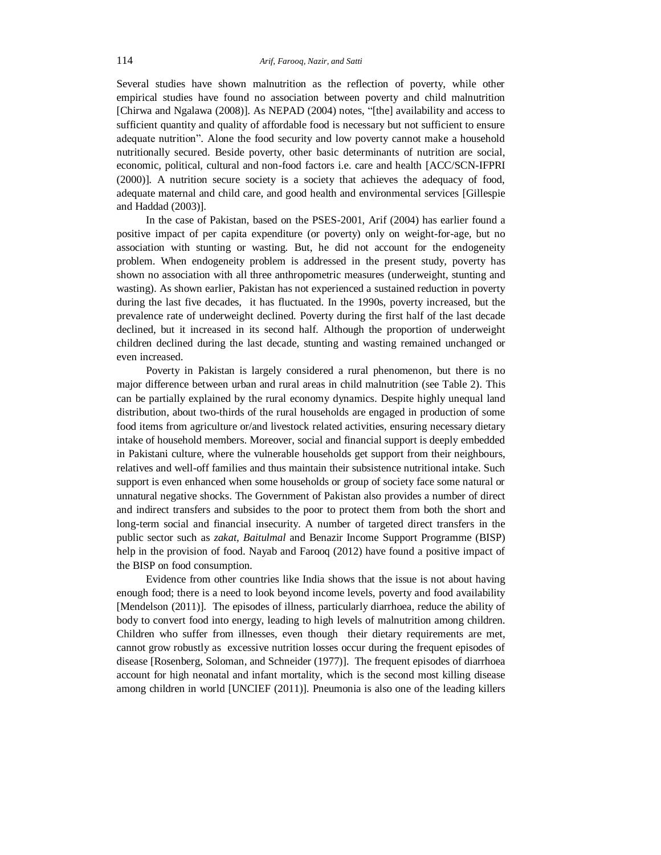Several studies have shown malnutrition as the reflection of poverty, while other empirical studies have found no association between poverty and child malnutrition [Chirwa and Ngalawa (2008)]. As NEPAD (2004) notes, "[the] availability and access to sufficient quantity and quality of affordable food is necessary but not sufficient to ensure adequate nutrition". Alone the food security and low poverty cannot make a household nutritionally secured. Beside poverty, other basic determinants of nutrition are social, economic, political, cultural and non-food factors i.e. care and health [ACC/SCN-IFPRI (2000)]. A nutrition secure society is a society that achieves the adequacy of food, adequate maternal and child care, and good health and environmental services [Gillespie and Haddad (2003)].

In the case of Pakistan, based on the PSES-2001, Arif (2004) has earlier found a positive impact of per capita expenditure (or poverty) only on weight-for-age, but no association with stunting or wasting. But, he did not account for the endogeneity problem. When endogeneity problem is addressed in the present study, poverty has shown no association with all three anthropometric measures (underweight, stunting and wasting). As shown earlier, Pakistan has not experienced a sustained reduction in poverty during the last five decades, it has fluctuated. In the 1990s, poverty increased, but the prevalence rate of underweight declined. Poverty during the first half of the last decade declined, but it increased in its second half. Although the proportion of underweight children declined during the last decade, stunting and wasting remained unchanged or even increased.

Poverty in Pakistan is largely considered a rural phenomenon, but there is no major difference between urban and rural areas in child malnutrition (see Table 2). This can be partially explained by the rural economy dynamics. Despite highly unequal land distribution, about two-thirds of the rural households are engaged in production of some food items from agriculture or/and livestock related activities, ensuring necessary dietary intake of household members. Moreover, social and financial support is deeply embedded in Pakistani culture, where the vulnerable households get support from their neighbours, relatives and well-off families and thus maintain their subsistence nutritional intake. Such support is even enhanced when some households or group of society face some natural or unnatural negative shocks. The Government of Pakistan also provides a number of direct and indirect transfers and subsides to the poor to protect them from both the short and long-term social and financial insecurity. A number of targeted direct transfers in the public sector such as *zakat, Baitulmal* and Benazir Income Support Programme (BISP) help in the provision of food. Nayab and Farooq (2012) have found a positive impact of the BISP on food consumption.

Evidence from other countries like India shows that the issue is not about having enough food; there is a need to look beyond income levels, poverty and food availability [Mendelson (2011)]. The episodes of illness, particularly diarrhoea, reduce the ability of body to convert food into energy, leading to high levels of malnutrition among children. Children who suffer from illnesses, even though their dietary requirements are met, cannot grow robustly as excessive nutrition losses occur during the frequent episodes of disease [Rosenberg, Soloman, and Schneider (1977)]. The frequent episodes of diarrhoea account for high neonatal and infant mortality, which is the second most killing disease among children in world [UNCIEF (2011)]. Pneumonia is also one of the leading killers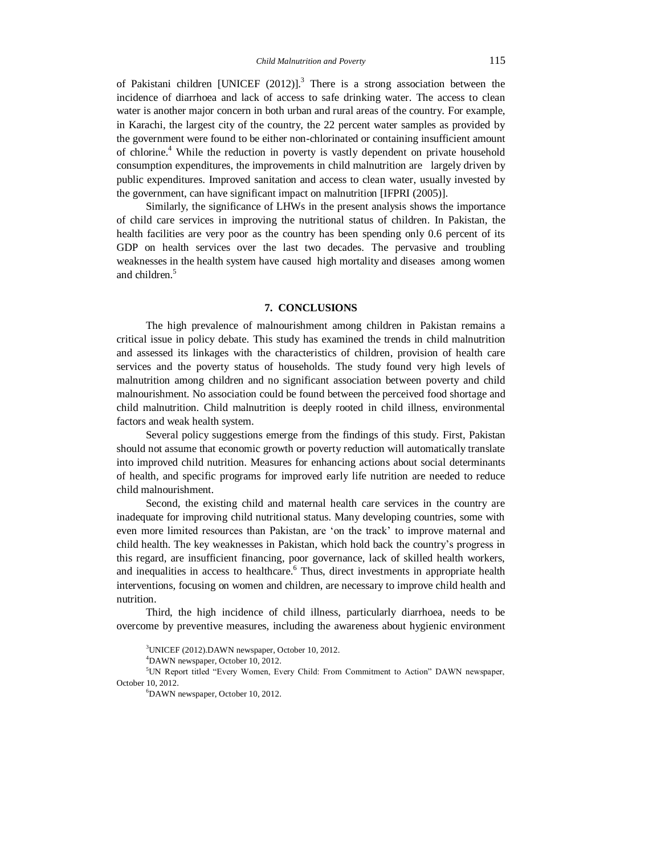of Pakistani children [UNICEF  $(2012)$ ].<sup>3</sup> There is a strong association between the incidence of diarrhoea and lack of access to safe drinking water. The access to clean water is another major concern in both urban and rural areas of the country. For example, in Karachi, the largest city of the country, the 22 percent water samples as provided by the government were found to be either non-chlorinated or containing insufficient amount of chlorine.<sup>4</sup> While the reduction in poverty is vastly dependent on private household consumption expenditures, the improvements in child malnutrition are largely driven by public expenditures. Improved sanitation and access to clean water, usually invested by the government, can have significant impact on malnutrition [IFPRI (2005)].

Similarly, the significance of LHWs in the present analysis shows the importance of child care services in improving the nutritional status of children. In Pakistan, the health facilities are very poor as the country has been spending only 0.6 percent of its GDP on health services over the last two decades. The pervasive and troubling weaknesses in the health system have caused high mortality and diseases among women and children. 5

### **7. CONCLUSIONS**

The high prevalence of malnourishment among children in Pakistan remains a critical issue in policy debate. This study has examined the trends in child malnutrition and assessed its linkages with the characteristics of children, provision of health care services and the poverty status of households. The study found very high levels of malnutrition among children and no significant association between poverty and child malnourishment. No association could be found between the perceived food shortage and child malnutrition. Child malnutrition is deeply rooted in child illness, environmental factors and weak health system.

Several policy suggestions emerge from the findings of this study. First, Pakistan should not assume that economic growth or poverty reduction will automatically translate into improved child nutrition. Measures for enhancing actions about social determinants of health, and specific programs for improved early life nutrition are needed to reduce child malnourishment.

Second, the existing child and maternal health care services in the country are inadequate for improving child nutritional status. Many developing countries, some with even more limited resources than Pakistan, are 'on the track' to improve maternal and child health. The key weaknesses in Pakistan, which hold back the country's progress in this regard, are insufficient financing, poor governance, lack of skilled health workers, and inequalities in access to healthcare.<sup>6</sup> Thus, direct investments in appropriate health interventions, focusing on women and children, are necessary to improve child health and nutrition.

Third, the high incidence of child illness, particularly diarrhoea, needs to be overcome by preventive measures, including the awareness about hygienic environment

<sup>4</sup>DAWN newspaper, October 10, 2012.

<sup>5</sup>UN Report titled "Every Women, Every Child: From Commitment to Action" DAWN newspaper, October 10, 2012.

<sup>6</sup>DAWN newspaper, October 10, 2012.

<sup>3</sup>UNICEF (2012).DAWN newspaper, October 10, 2012.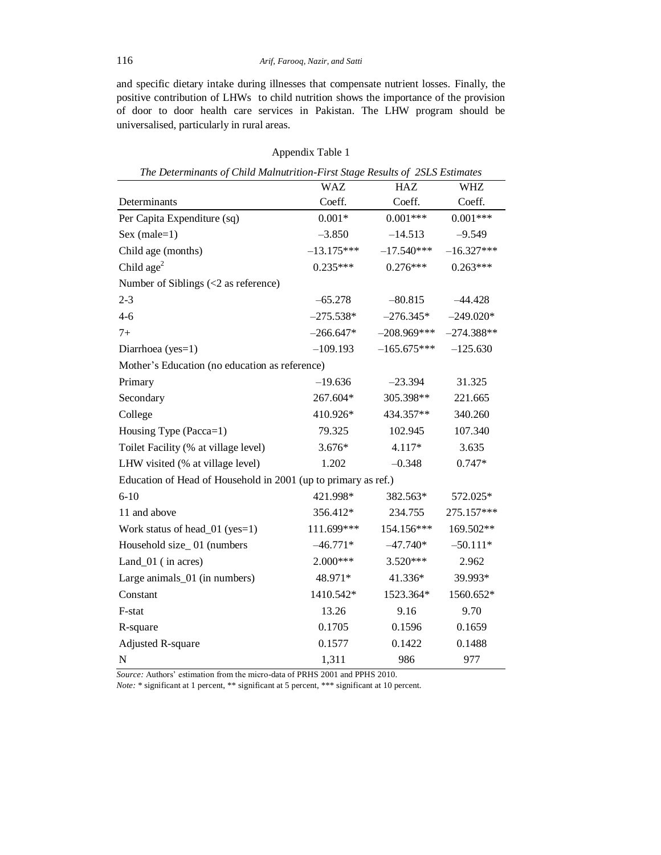and specific dietary intake during illnesses that compensate nutrient losses. Finally, the positive contribution of LHWs to child nutrition shows the importance of the provision of door to door health care services in Pakistan. The LHW program should be universalised, particularly in rural areas.

| The Determinants of Child Malnutrition-First Stage Results of 2SLS Estimates |              |               |              |  |  |  |
|------------------------------------------------------------------------------|--------------|---------------|--------------|--|--|--|
|                                                                              | <b>WAZ</b>   | HAZ           | WHZ          |  |  |  |
| Determinants                                                                 | Coeff.       | Coeff.        | Coeff.       |  |  |  |
| Per Capita Expenditure (sq)                                                  | $0.001*$     | $0.001***$    | $0.001***$   |  |  |  |
| $Sex (male=1)$                                                               | $-3.850$     | $-14.513$     | $-9.549$     |  |  |  |
| Child age (months)                                                           | $-13.175***$ | $-17.540***$  | $-16.327***$ |  |  |  |
| Child $age2$                                                                 | $0.235***$   | $0.276***$    | $0.263***$   |  |  |  |
| Number of Siblings $\left( < 2 \text{ as reference} \right)$                 |              |               |              |  |  |  |
| $2 - 3$                                                                      | $-65.278$    | $-80.815$     | $-44.428$    |  |  |  |
| $4 - 6$                                                                      | $-275.538*$  | $-276.345*$   | $-249.020*$  |  |  |  |
| $7+$                                                                         | $-266.647*$  | $-208.969***$ | $-274.388**$ |  |  |  |
| Diarrhoea (yes=1)                                                            | $-109.193$   | $-165.675***$ | $-125.630$   |  |  |  |
| Mother's Education (no education as reference)                               |              |               |              |  |  |  |
| Primary                                                                      | $-19.636$    | $-23.394$     | 31.325       |  |  |  |
| Secondary                                                                    | 267.604*     | 305.398**     | 221.665      |  |  |  |
| College                                                                      | 410.926*     | 434.357**     | 340.260      |  |  |  |
| Housing Type (Pacca=1)                                                       | 79.325       | 102.945       | 107.340      |  |  |  |
| Toilet Facility (% at village level)                                         | $3.676*$     | 4.117*        | 3.635        |  |  |  |
| LHW visited (% at village level)                                             | 1.202        | $-0.348$      | $0.747*$     |  |  |  |
| Education of Head of Household in 2001 (up to primary as ref.)               |              |               |              |  |  |  |
| $6 - 10$                                                                     | 421.998*     | 382.563*      | 572.025*     |  |  |  |
| 11 and above                                                                 | 356.412*     | 234.755       | 275.157***   |  |  |  |
| Work status of head_01 (yes=1)                                               | 111.699***   | 154.156***    | 169.502**    |  |  |  |
| Household size_01 (numbers                                                   | $-46.771*$   | $-47.740*$    | $-50.111*$   |  |  |  |
| Land_01 (in acres)                                                           | 2.000***     | $3.520***$    | 2.962        |  |  |  |
| Large animals_01 (in numbers)                                                | 48.971*      | 41.336*       | 39.993*      |  |  |  |
| Constant                                                                     | 1410.542*    | 1523.364*     | 1560.652*    |  |  |  |
| F-stat                                                                       | 13.26        | 9.16          | 9.70         |  |  |  |
| R-square                                                                     | 0.1705       | 0.1596        | 0.1659       |  |  |  |
| <b>Adjusted R-square</b>                                                     | 0.1577       | 0.1422        | 0.1488       |  |  |  |
| ${\bf N}$                                                                    | 1,311        | 986           | 977          |  |  |  |

Appendix Table 1

*Source:* Authors' estimation from the micro-data of PRHS 2001 and PPHS 2010.

*Note:* \* significant at 1 percent, \*\* significant at 5 percent, \*\*\* significant at 10 percent.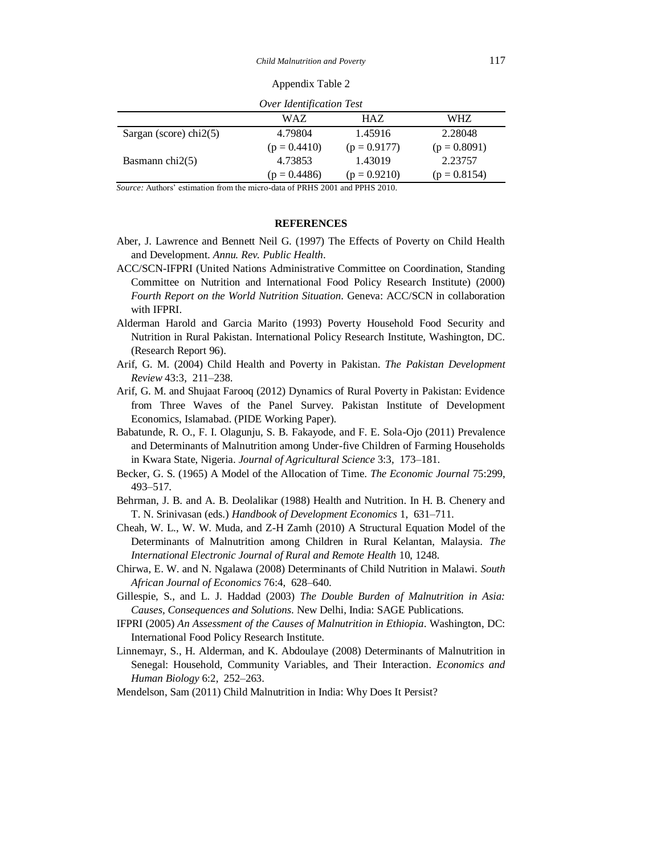Appendix Table 2

| Over Identification Test        |                |                |                |
|---------------------------------|----------------|----------------|----------------|
|                                 | WAZ.           | HAZ.           | WHZ.           |
| Sargan (score) $\text{chi2}(5)$ | 4.79804        | 1.45916        | 2.28048        |
|                                 | $(p = 0.4410)$ | $(p = 0.9177)$ | $(p = 0.8091)$ |
| Basmann chi $2(5)$              | 4.73853        | 1.43019        | 2.23757        |
|                                 | $(p = 0.4486)$ | $(p = 0.9210)$ | $(p = 0.8154)$ |

*Source:* Authors' estimation from the micro-data of PRHS 2001 and PPHS 2010.

## **REFERENCES**

- Aber, J. Lawrence and Bennett Neil G. (1997) The Effects of Poverty on Child Health and Development. *Annu. Rev. Public Health*.
- ACC/SCN-IFPRI (United Nations Administrative Committee on Coordination, Standing Committee on Nutrition and International Food Policy Research Institute) (2000) *Fourth Report on the World Nutrition Situation*. Geneva: ACC/SCN in collaboration with IFPRI.
- Alderman Harold and Garcia Marito (1993) Poverty Household Food Security and Nutrition in Rural Pakistan. International Policy Research Institute, Washington, DC. (Research Report 96).
- Arif, G. M. (2004) Child Health and Poverty in Pakistan. *The Pakistan Development Review* 43:3, 211–238.
- Arif, G. M. and Shujaat Farooq (2012) Dynamics of Rural Poverty in Pakistan: Evidence from Three Waves of the Panel Survey. Pakistan Institute of Development Economics, Islamabad. (PIDE Working Paper).
- Babatunde, R. O., F. I. Olagunju, S. B. Fakayode, and F. E. Sola-Ojo (2011) Prevalence and Determinants of Malnutrition among Under-five Children of Farming Households in Kwara State, Nigeria. *Journal of Agricultural Science* 3:3, 173–181.
- Becker, G. S. (1965) A Model of the Allocation of Time. *The Economic Journal* 75:299, 493–517.
- Behrman, J. B. and A. B. Deolalikar (1988) Health and Nutrition. In H. B. Chenery and T. N. Srinivasan (eds.) *Handbook of Development Economics* 1, 631–711.
- Cheah, W. L., W. W. Muda, and Z-H Zamh (2010) A Structural Equation Model of the Determinants of Malnutrition among Children in Rural Kelantan, Malaysia. *The International Electronic Journal of Rural and Remote Health* 10, 1248.
- Chirwa, E. W. and N. Ngalawa (2008) Determinants of Child Nutrition in Malawi. *South African Journal of Economics* 76:4, 628–640.
- Gillespie, S., and L. J. Haddad (2003) *The Double Burden of Malnutrition in Asia: Causes, Consequences and Solutions*. New Delhi, India: SAGE Publications.
- IFPRI (2005) *An Assessment of the Causes of Malnutrition in Ethiopia*. Washington, DC: International Food Policy Research Institute.
- Linnemayr, S., H. Alderman, and K. Abdoulaye (2008) Determinants of Malnutrition in Senegal: Household, Community Variables, and Their Interaction. *Economics and Human Biology* 6:2, 252–263.
- Mendelson, Sam (2011) Child Malnutrition in India: Why Does It Persist?